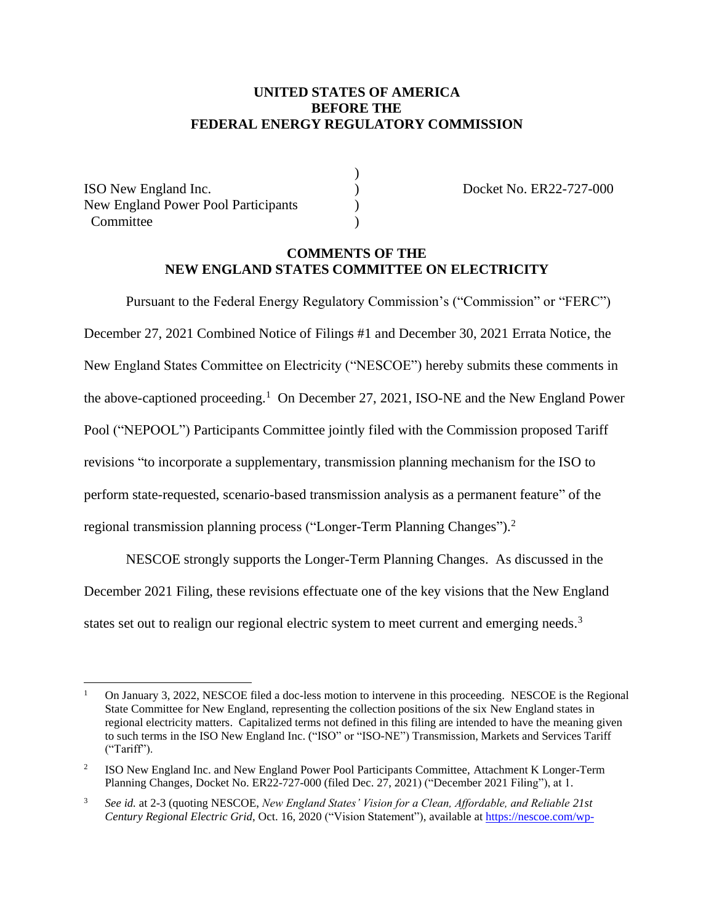## **UNITED STATES OF AMERICA BEFORE THE FEDERAL ENERGY REGULATORY COMMISSION**

)

ISO New England Inc. ) Docket No. ER22-727-000 New England Power Pool Participants ) Committee

## **COMMENTS OF THE NEW ENGLAND STATES COMMITTEE ON ELECTRICITY**

Pursuant to the Federal Energy Regulatory Commission's ("Commission" or "FERC") December 27, 2021 Combined Notice of Filings #1 and December 30, 2021 Errata Notice, the New England States Committee on Electricity ("NESCOE") hereby submits these comments in the above-captioned proceeding.<sup>1</sup> On December 27, 2021, ISO-NE and the New England Power Pool ("NEPOOL") Participants Committee jointly filed with the Commission proposed Tariff revisions "to incorporate a supplementary, transmission planning mechanism for the ISO to perform state-requested, scenario-based transmission analysis as a permanent feature" of the regional transmission planning process ("Longer-Term Planning Changes").<sup>2</sup>

NESCOE strongly supports the Longer-Term Planning Changes. As discussed in the December 2021 Filing, these revisions effectuate one of the key visions that the New England states set out to realign our regional electric system to meet current and emerging needs.<sup>3</sup>

<sup>1</sup> On January 3, 2022, NESCOE filed a doc-less motion to intervene in this proceeding. NESCOE is the Regional State Committee for New England, representing the collection positions of the six New England states in regional electricity matters. Capitalized terms not defined in this filing are intended to have the meaning given to such terms in the ISO New England Inc. ("ISO" or "ISO-NE") Transmission, Markets and Services Tariff ("Tariff").

<sup>2</sup> ISO New England Inc. and New England Power Pool Participants Committee, Attachment K Longer-Term Planning Changes, Docket No. ER22-727-000 (filed Dec. 27, 2021) ("December 2021 Filing"), at 1.

<sup>3</sup> *See id.* at 2-3 (quoting NESCOE, *New England States' Vision for a Clean, Affordable, and Reliable 21st Century Regional Electric Grid*, Oct. 16, 2020 ("Vision Statement"), available a[t https://nescoe.com/wp-](https://nescoe.com/wp-content/uploads/2020/10/NESCOE_Vision_Statement_Oct2020.pdf)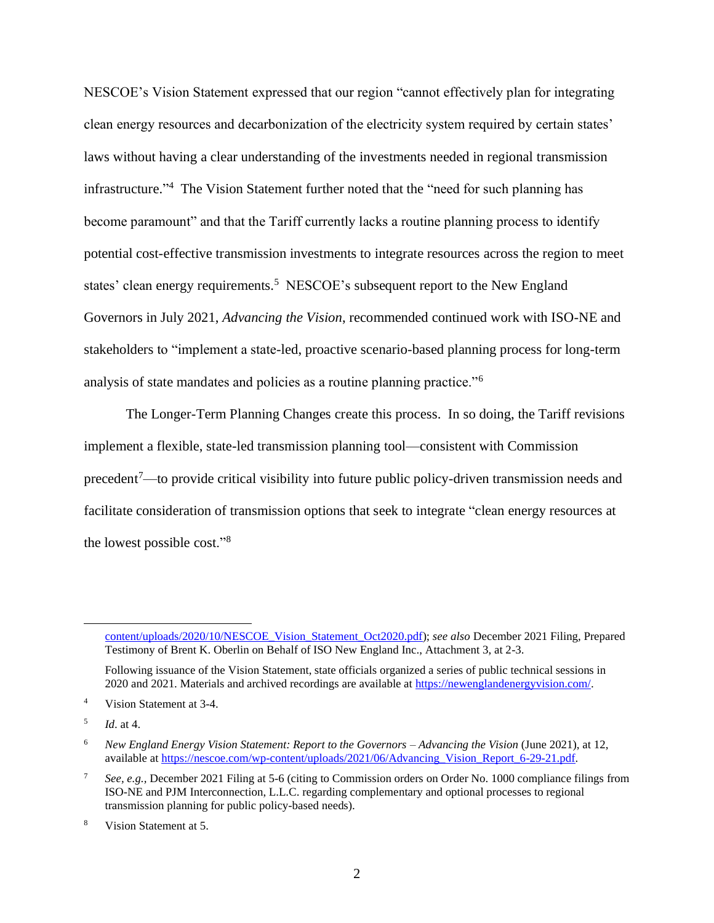NESCOE's Vision Statement expressed that our region "cannot effectively plan for integrating clean energy resources and decarbonization of the electricity system required by certain states' laws without having a clear understanding of the investments needed in regional transmission infrastructure." 4 The Vision Statement further noted that the "need for such planning has become paramount" and that the Tariff currently lacks a routine planning process to identify potential cost-effective transmission investments to integrate resources across the region to meet states' clean energy requirements.<sup>5</sup> NESCOE's subsequent report to the New England Governors in July 2021, *Advancing the Vision*, recommended continued work with ISO-NE and stakeholders to "implement a state-led, proactive scenario-based planning process for long-term analysis of state mandates and policies as a routine planning practice."<sup>6</sup>

The Longer-Term Planning Changes create this process. In so doing, the Tariff revisions implement a flexible, state-led transmission planning tool—consistent with Commission precedent<sup>7</sup>—to provide critical visibility into future public policy-driven transmission needs and facilitate consideration of transmission options that seek to integrate "clean energy resources at the lowest possible cost."<sup>8</sup>

[content/uploads/2020/10/NESCOE\\_Vision\\_Statement\\_Oct2020.pdf\)](https://nescoe.com/wp-content/uploads/2020/10/NESCOE_Vision_Statement_Oct2020.pdf); *see also* December 2021 Filing, Prepared Testimony of Brent K. Oberlin on Behalf of ISO New England Inc., Attachment 3, at 2-3.

Following issuance of the Vision Statement, state officials organized a series of public technical sessions in 2020 and 2021. Materials and archived recordings are available at [https://newenglandenergyvision.com/.](https://newenglandenergyvision.com/)

<sup>4</sup> Vision Statement at 3-4.

<sup>5</sup> *Id*. at 4.

<sup>6</sup> *New England Energy Vision Statement: Report to the Governors – Advancing the Vision* (June 2021), at 12, available a[t https://nescoe.com/wp-content/uploads/2021/06/Advancing\\_Vision\\_Report\\_6-29-21.pdf.](https://nescoe.com/wp-content/uploads/2021/06/Advancing_Vision_Report_6-29-21.pdf) 

<sup>7</sup> *See, e.g.,* December 2021 Filing at 5-6 (citing to Commission orders on Order No. 1000 compliance filings from ISO-NE and PJM Interconnection, L.L.C. regarding complementary and optional processes to regional transmission planning for public policy-based needs).

<sup>8</sup> Vision Statement at 5.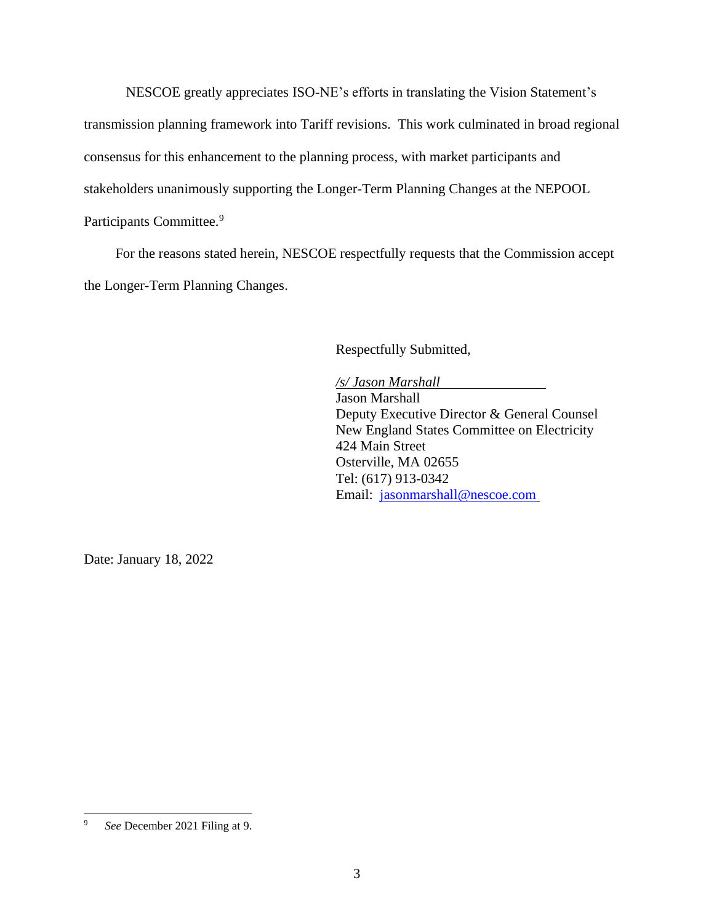NESCOE greatly appreciates ISO-NE's efforts in translating the Vision Statement's transmission planning framework into Tariff revisions. This work culminated in broad regional consensus for this enhancement to the planning process, with market participants and stakeholders unanimously supporting the Longer-Term Planning Changes at the NEPOOL Participants Committee.<sup>9</sup>

For the reasons stated herein, NESCOE respectfully requests that the Commission accept the Longer-Term Planning Changes.

Respectfully Submitted,

*/s/ Jason Marshall* Jason Marshall Deputy Executive Director & General Counsel New England States Committee on Electricity 424 Main Street Osterville, MA 02655 Tel: (617) 913-0342 Email: [jasonmarshall@nescoe.com](mailto:jasonmarshall@nescoe.com)

Date: January 18, 2022

<sup>9</sup> *See* December 2021 Filing at 9.